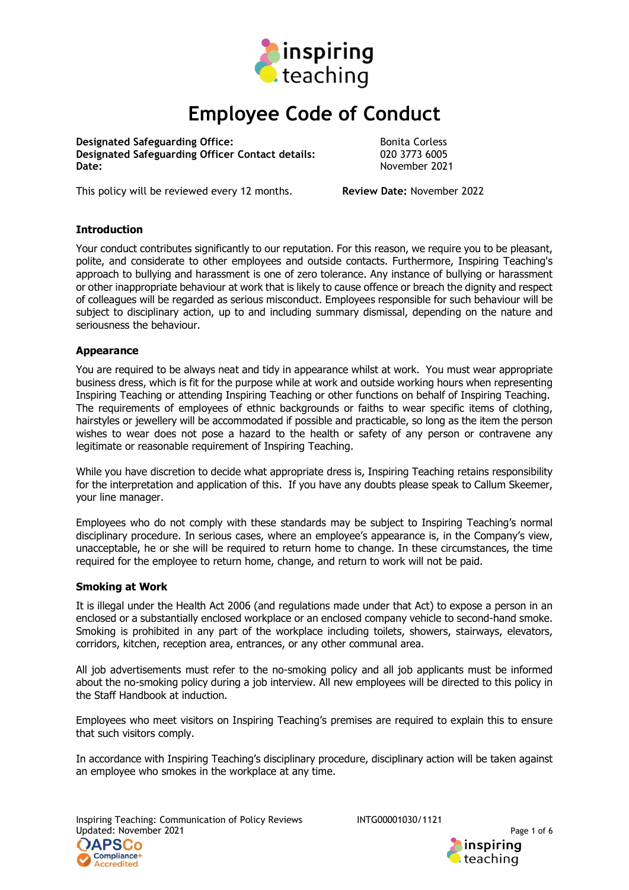

# Employee Code of Conduct

**Designated Safeguarding Office:** The South of Bonita Corless Designated Safeguarding Officer Contact details: 020 3773 6005 Date: November 2021

This policy will be reviewed every 12 months. Review Date: November 2022

# **Introduction**

Your conduct contributes significantly to our reputation. For this reason, we require you to be pleasant, polite, and considerate to other employees and outside contacts. Furthermore, Inspiring Teaching's approach to bullying and harassment is one of zero tolerance. Any instance of bullying or harassment or other inappropriate behaviour at work that is likely to cause offence or breach the dignity and respect of colleagues will be regarded as serious misconduct. Employees responsible for such behaviour will be subject to disciplinary action, up to and including summary dismissal, depending on the nature and seriousness the behaviour.

## Appearance

You are required to be always neat and tidy in appearance whilst at work. You must wear appropriate business dress, which is fit for the purpose while at work and outside working hours when representing Inspiring Teaching or attending Inspiring Teaching or other functions on behalf of Inspiring Teaching. The requirements of employees of ethnic backgrounds or faiths to wear specific items of clothing, hairstyles or jewellery will be accommodated if possible and practicable, so long as the item the person wishes to wear does not pose a hazard to the health or safety of any person or contravene any legitimate or reasonable requirement of Inspiring Teaching.

While you have discretion to decide what appropriate dress is. Inspiring Teaching retains responsibility for the interpretation and application of this. If you have any doubts please speak to Callum Skeemer, your line manager.

Employees who do not comply with these standards may be subject to Inspiring Teaching's normal disciplinary procedure. In serious cases, where an employee's appearance is, in the Company's view, unacceptable, he or she will be required to return home to change. In these circumstances, the time required for the employee to return home, change, and return to work will not be paid.

## Smoking at Work

It is illegal under the Health Act 2006 (and regulations made under that Act) to expose a person in an enclosed or a substantially enclosed workplace or an enclosed company vehicle to second-hand smoke. Smoking is prohibited in any part of the workplace including toilets, showers, stairways, elevators, corridors, kitchen, reception area, entrances, or any other communal area.

All job advertisements must refer to the no-smoking policy and all job applicants must be informed about the no-smoking policy during a job interview. All new employees will be directed to this policy in the Staff Handbook at induction.

Employees who meet visitors on Inspiring Teaching's premises are required to explain this to ensure that such visitors comply.

In accordance with Inspiring Teaching's disciplinary procedure, disciplinary action will be taken against an employee who smokes in the workplace at any time.

Inspiring Teaching: Communication of Policy Reviews INTG00001030/1121 Updated: November 2021 Page 1 of 6



inspiring teaching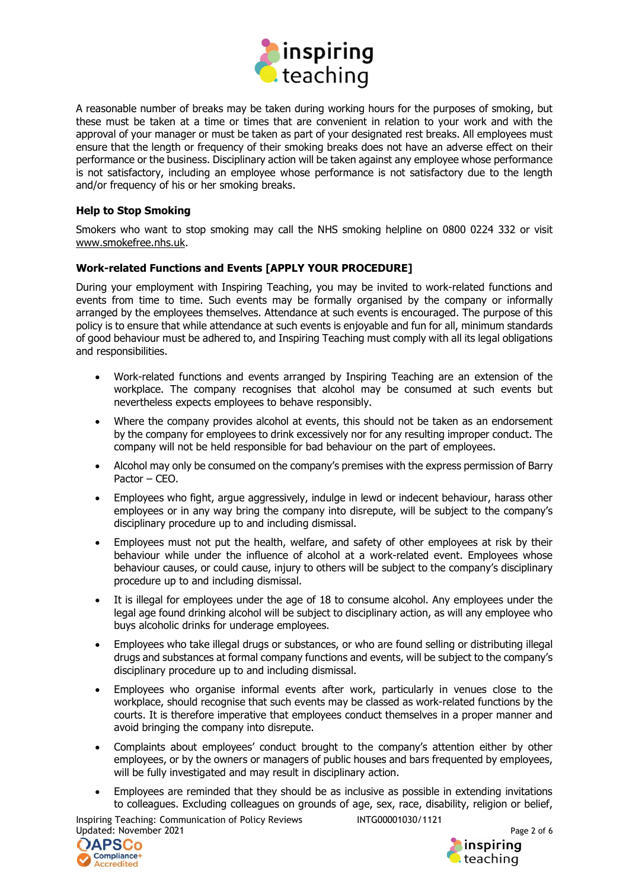

A reasonable number of breaks may be taken during working hours for the purposes of smoking, but these must be taken at a time or times that are convenient in relation to your work and with the approval of your manager or must be taken as part of your designated rest breaks. All employees must ensure that the length or frequency of their smoking breaks does not have an adverse effect on their performance or the business. Disciplinary action will be taken against any employee whose performance is not satisfactory, including an employee whose performance is not satisfactory due to the length and/or frequency of his or her smoking breaks.

## Help to Stop Smoking

Smokers who want to stop smoking may call the NHS smoking helpline on 0800 0224 332 or visit www.smokefree.nhs.uk.

## Work-related Functions and Events [APPLY YOUR PROCEDURE]

During your employment with Inspiring Teaching, you may be invited to work-related functions and events from time to time. Such events may be formally organised by the company or informally arranged by the employees themselves. Attendance at such events is encouraged. The purpose of this policy is to ensure that while attendance at such events is enjoyable and fun for all, minimum standards of good behaviour must be adhered to, and Inspiring Teaching must comply with all its legal obligations and responsibilities.

- Work-related functions and events arranged by Inspiring Teaching are an extension of the workplace. The company recognises that alcohol may be consumed at such events but nevertheless expects employees to behave responsibly.
- Where the company provides alcohol at events, this should not be taken as an endorsement by the company for employees to drink excessively nor for any resulting improper conduct. The company will not be held responsible for bad behaviour on the part of employees.
- Alcohol may only be consumed on the company's premises with the express permission of Barry Pactor – CEO.
- Employees who fight, argue aggressively, indulge in lewd or indecent behaviour, harass other employees or in any way bring the company into disrepute, will be subject to the company's disciplinary procedure up to and including dismissal.
- Employees must not put the health, welfare, and safety of other employees at risk by their behaviour while under the influence of alcohol at a work-related event. Employees whose behaviour causes, or could cause, injury to others will be subject to the company's disciplinary procedure up to and including dismissal.
- It is illegal for employees under the age of 18 to consume alcohol. Any employees under the legal age found drinking alcohol will be subject to disciplinary action, as will any employee who buys alcoholic drinks for underage employees.
- Employees who take illegal drugs or substances, or who are found selling or distributing illegal drugs and substances at formal company functions and events, will be subject to the company's disciplinary procedure up to and including dismissal.
- Employees who organise informal events after work, particularly in venues close to the workplace, should recognise that such events may be classed as work-related functions by the courts. It is therefore imperative that employees conduct themselves in a proper manner and avoid bringing the company into disrepute.
- Complaints about employees' conduct brought to the company's attention either by other employees, or by the owners or managers of public houses and bars frequented by employees, will be fully investigated and may result in disciplinary action.
- Employees are reminded that they should be as inclusive as possible in extending invitations to colleagues. Excluding colleagues on grounds of age, sex, race, disability, religion or belief,

Inspiring Teaching: Communication of Policy Reviews INTG00001030/1121 Updated: November 2021 Page 2 of 6



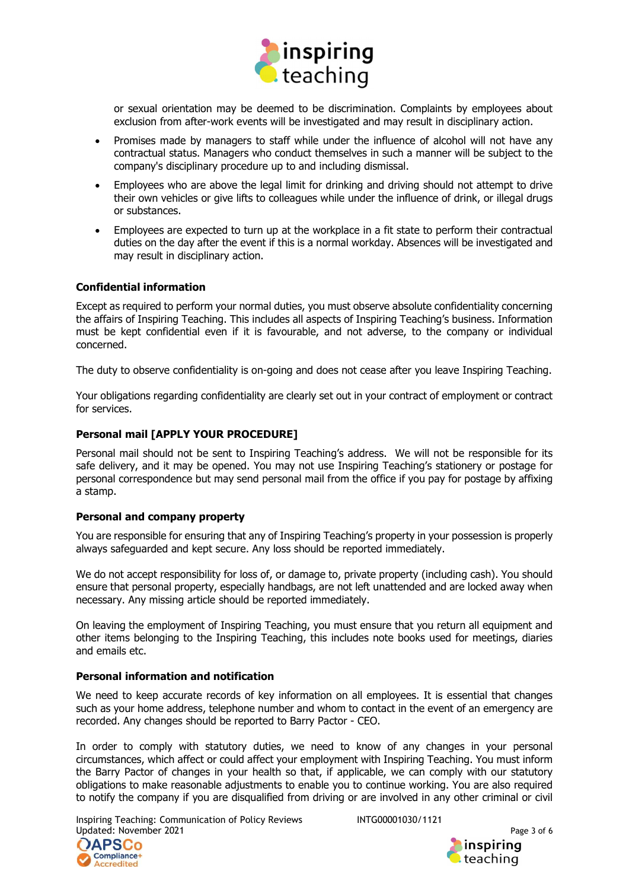

or sexual orientation may be deemed to be discrimination. Complaints by employees about exclusion from after-work events will be investigated and may result in disciplinary action.

- Promises made by managers to staff while under the influence of alcohol will not have any contractual status. Managers who conduct themselves in such a manner will be subject to the company's disciplinary procedure up to and including dismissal.
- Employees who are above the legal limit for drinking and driving should not attempt to drive their own vehicles or give lifts to colleagues while under the influence of drink, or illegal drugs or substances.
- Employees are expected to turn up at the workplace in a fit state to perform their contractual duties on the day after the event if this is a normal workday. Absences will be investigated and may result in disciplinary action.

## Confidential information

Except as required to perform your normal duties, you must observe absolute confidentiality concerning the affairs of Inspiring Teaching. This includes all aspects of Inspiring Teaching's business. Information must be kept confidential even if it is favourable, and not adverse, to the company or individual concerned.

The duty to observe confidentiality is on-going and does not cease after you leave Inspiring Teaching.

Your obligations regarding confidentiality are clearly set out in your contract of employment or contract for services.

## Personal mail [APPLY YOUR PROCEDURE]

Personal mail should not be sent to Inspiring Teaching's address. We will not be responsible for its safe delivery, and it may be opened. You may not use Inspiring Teaching's stationery or postage for personal correspondence but may send personal mail from the office if you pay for postage by affixing a stamp.

## Personal and company property

You are responsible for ensuring that any of Inspiring Teaching's property in your possession is properly always safeguarded and kept secure. Any loss should be reported immediately.

We do not accept responsibility for loss of, or damage to, private property (including cash). You should ensure that personal property, especially handbags, are not left unattended and are locked away when necessary. Any missing article should be reported immediately.

On leaving the employment of Inspiring Teaching, you must ensure that you return all equipment and other items belonging to the Inspiring Teaching, this includes note books used for meetings, diaries and emails etc.

# Personal information and notification

We need to keep accurate records of key information on all employees. It is essential that changes such as your home address, telephone number and whom to contact in the event of an emergency are recorded. Any changes should be reported to Barry Pactor - CEO.

In order to comply with statutory duties, we need to know of any changes in your personal circumstances, which affect or could affect your employment with Inspiring Teaching. You must inform the Barry Pactor of changes in your health so that, if applicable, we can comply with our statutory obligations to make reasonable adjustments to enable you to continue working. You are also required to notify the company if you are disqualified from driving or are involved in any other criminal or civil

Inspiring Teaching: Communication of Policy Reviews INTG00001030/1121 Updated: November 2021 **Page 3 of 6** and 2021



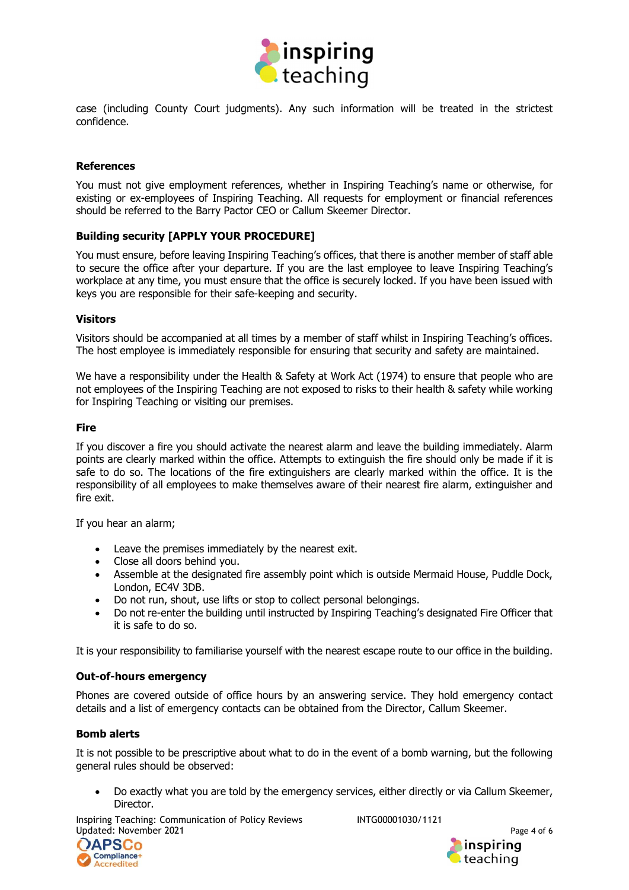

case (including County Court judgments). Any such information will be treated in the strictest confidence.

### References

You must not give employment references, whether in Inspiring Teaching's name or otherwise, for existing or ex-employees of Inspiring Teaching. All requests for employment or financial references should be referred to the Barry Pactor CEO or Callum Skeemer Director.

## Building security [APPLY YOUR PROCEDURE]

You must ensure, before leaving Inspiring Teaching's offices, that there is another member of staff able to secure the office after your departure. If you are the last employee to leave Inspiring Teaching's workplace at any time, you must ensure that the office is securely locked. If you have been issued with keys you are responsible for their safe-keeping and security.

#### Visitors

Visitors should be accompanied at all times by a member of staff whilst in Inspiring Teaching's offices. The host employee is immediately responsible for ensuring that security and safety are maintained.

We have a responsibility under the Health & Safety at Work Act (1974) to ensure that people who are not employees of the Inspiring Teaching are not exposed to risks to their health & safety while working for Inspiring Teaching or visiting our premises.

#### Fire

If you discover a fire you should activate the nearest alarm and leave the building immediately. Alarm points are clearly marked within the office. Attempts to extinguish the fire should only be made if it is safe to do so. The locations of the fire extinguishers are clearly marked within the office. It is the responsibility of all employees to make themselves aware of their nearest fire alarm, extinguisher and fire exit.

If you hear an alarm;

- Leave the premises immediately by the nearest exit.
- Close all doors behind you.
- Assemble at the designated fire assembly point which is outside Mermaid House, Puddle Dock, London, EC4V 3DB.
- Do not run, shout, use lifts or stop to collect personal belongings.
- Do not re-enter the building until instructed by Inspiring Teaching's designated Fire Officer that it is safe to do so.

It is your responsibility to familiarise yourself with the nearest escape route to our office in the building.

#### Out-of-hours emergency

Phones are covered outside of office hours by an answering service. They hold emergency contact details and a list of emergency contacts can be obtained from the Director, Callum Skeemer.

## Bomb alerts

It is not possible to be prescriptive about what to do in the event of a bomb warning, but the following general rules should be observed:

 Do exactly what you are told by the emergency services, either directly or via Callum Skeemer, Director.

Inspiring Teaching: Communication of Policy Reviews INTG00001030/1121 Updated: November 2021 **Page 4 of 6** and 2021



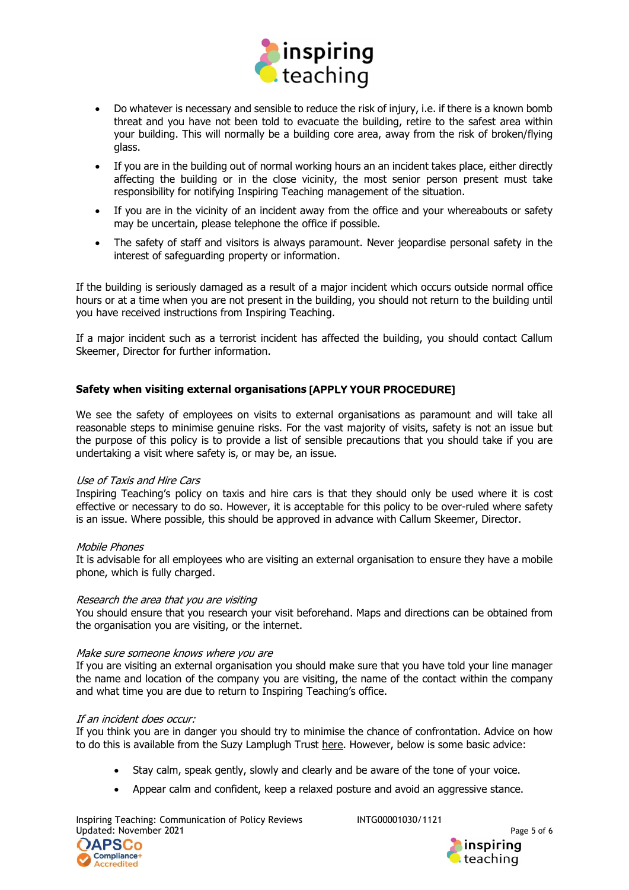

- Do whatever is necessary and sensible to reduce the risk of injury, i.e. if there is a known bomb threat and you have not been told to evacuate the building, retire to the safest area within your building. This will normally be a building core area, away from the risk of broken/flying glass.
- If you are in the building out of normal working hours an an incident takes place, either directly affecting the building or in the close vicinity, the most senior person present must take responsibility for notifying Inspiring Teaching management of the situation.
- If you are in the vicinity of an incident away from the office and your whereabouts or safety may be uncertain, please telephone the office if possible.
- The safety of staff and visitors is always paramount. Never jeopardise personal safety in the interest of safeguarding property or information.

If the building is seriously damaged as a result of a major incident which occurs outside normal office hours or at a time when you are not present in the building, you should not return to the building until you have received instructions from Inspiring Teaching.

If a major incident such as a terrorist incident has affected the building, you should contact Callum Skeemer, Director for further information.

# Safety when visiting external organisations [APPLY YOUR PROCEDURE]

We see the safety of employees on visits to external organisations as paramount and will take all reasonable steps to minimise genuine risks. For the vast majority of visits, safety is not an issue but the purpose of this policy is to provide a list of sensible precautions that you should take if you are undertaking a visit where safety is, or may be, an issue.

#### Use of Taxis and Hire Cars

Inspiring Teaching's policy on taxis and hire cars is that they should only be used where it is cost effective or necessary to do so. However, it is acceptable for this policy to be over-ruled where safety is an issue. Where possible, this should be approved in advance with Callum Skeemer, Director.

#### Mobile Phones

It is advisable for all employees who are visiting an external organisation to ensure they have a mobile phone, which is fully charged.

#### Research the area that you are visiting

You should ensure that you research your visit beforehand. Maps and directions can be obtained from the organisation you are visiting, or the internet.

#### Make sure someone knows where you are

If you are visiting an external organisation you should make sure that you have told your line manager the name and location of the company you are visiting, the name of the contact within the company and what time you are due to return to Inspiring Teaching's office.

#### If an incident does occur:

If you think you are in danger you should try to minimise the chance of confrontation. Advice on how to do this is available from the Suzy Lamplugh Trust here. However, below is some basic advice:

- Stay calm, speak gently, slowly and clearly and be aware of the tone of your voice.
- Appear calm and confident, keep a relaxed posture and avoid an aggressive stance.

Inspiring Teaching: Communication of Policy Reviews INTG00001030/1121 Updated: November 2021 **Page 5 of 6** and 2021



<mark>inspiring</mark><br>Iteaching